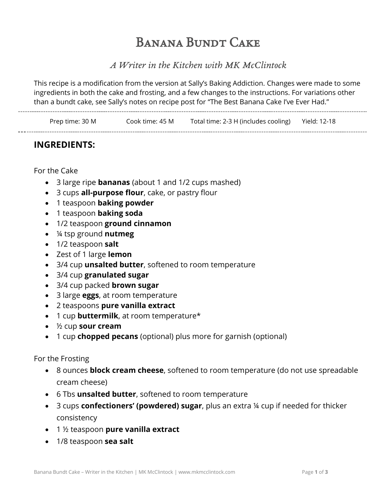# Banana Bundt Cake

## *A Writer in the Kitchen with MK McClintock*

This recipe is a modification from the version at Sally's Baking Addiction. Changes were made to some ingredients in both the cake and frosting, and a few changes to the instructions. For variations other than a bundt cake, see Sally's notes on recipe post for "The Best Banana Cake I've Ever Had." 

Prep time: 30 M Cook time: 45 M Total time: 2-3 H (includes cooling) Yield: 12-18

## **INGREDIENTS:**

For the Cake

- 3 large ripe **bananas** (about 1 and 1/2 cups mashed)
- 3 cups **all-purpose flour**, cake, or pastry flour
- 1 teaspoon **baking powder**
- 1 teaspoon **baking soda**
- 1/2 teaspoon **ground cinnamon**

- ¼ tsp ground **nutmeg**
- 1/2 teaspoon **salt**
- Zest of 1 large **lemon**
- 3/4 cup **unsalted butter**, softened to room temperature
- 3/4 cup **granulated sugar**
- 3/4 cup packed **brown sugar**
- 3 large **eggs**, at room temperature
- 2 teaspoons **pure vanilla extract**
- 1 cup **buttermilk**, at room temperature\*
- ½ cup **sour cream**
- 1 cup **chopped pecans** (optional) plus more for garnish (optional)

#### For the Frosting

- 8 ounces **block cream cheese**, softened to room temperature (do not use spreadable cream cheese)
- 6 Tbs **unsalted butter**, softened to room temperature
- 3 cups **confectioners' (powdered) sugar**, plus an extra ¼ cup if needed for thicker consistency
- 1 ½ teaspoon **pure vanilla extract**
- 1/8 teaspoon **sea salt**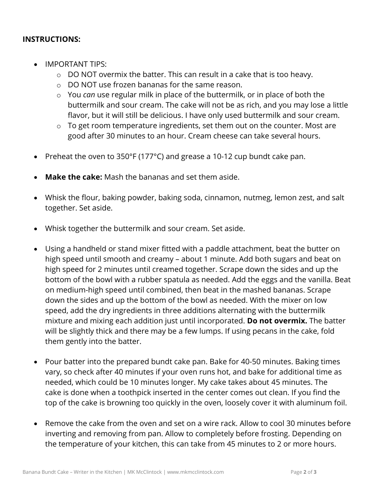### **INSTRUCTIONS:**

- IMPORTANT TIPS:
	- o DO NOT overmix the batter. This can result in a cake that is too heavy.
	- o DO NOT use frozen bananas for the same reason.
	- o You *can* use regular milk in place of the buttermilk, or in place of both the buttermilk and sour cream. The cake will not be as rich, and you may lose a little flavor, but it will still be delicious. I have only used buttermilk and sour cream.
	- $\circ$  To get room temperature ingredients, set them out on the counter. Most are good after 30 minutes to an hour. Cream cheese can take several hours.
- Preheat the oven to 350°F (177°C) and grease a 10-12 cup bundt cake pan.
- **Make the cake:** Mash the bananas and set them aside.
- Whisk the flour, baking powder, baking soda, cinnamon, nutmeg, lemon zest, and salt together. Set aside.
- Whisk together the buttermilk and sour cream. Set aside.
- Using a handheld or stand mixer fitted with a paddle attachment, beat the butter on high speed until smooth and creamy – about 1 minute. Add both sugars and beat on high speed for 2 minutes until creamed together. Scrape down the sides and up the bottom of the bowl with a rubber spatula as needed. Add the eggs and the vanilla. Beat on medium-high speed until combined, then beat in the mashed bananas. Scrape down the sides and up the bottom of the bowl as needed. With the mixer on low speed, add the dry ingredients in three additions alternating with the buttermilk mixture and mixing each addition just until incorporated. **Do not overmix.** The batter will be slightly thick and there may be a few lumps. If using pecans in the cake, fold them gently into the batter.
- Pour batter into the prepared bundt cake pan. Bake for 40-50 minutes. Baking times vary, so check after 40 minutes if your oven runs hot, and bake for additional time as needed, which could be 10 minutes longer. My cake takes about 45 minutes. The cake is done when a toothpick inserted in the center comes out clean. If you find the top of the cake is browning too quickly in the oven, loosely cover it with aluminum foil.
- Remove the cake from the oven and set on a wire rack. Allow to cool 30 minutes before inverting and removing from pan. Allow to completely before frosting. Depending on the temperature of your kitchen, this can take from 45 minutes to 2 or more hours.